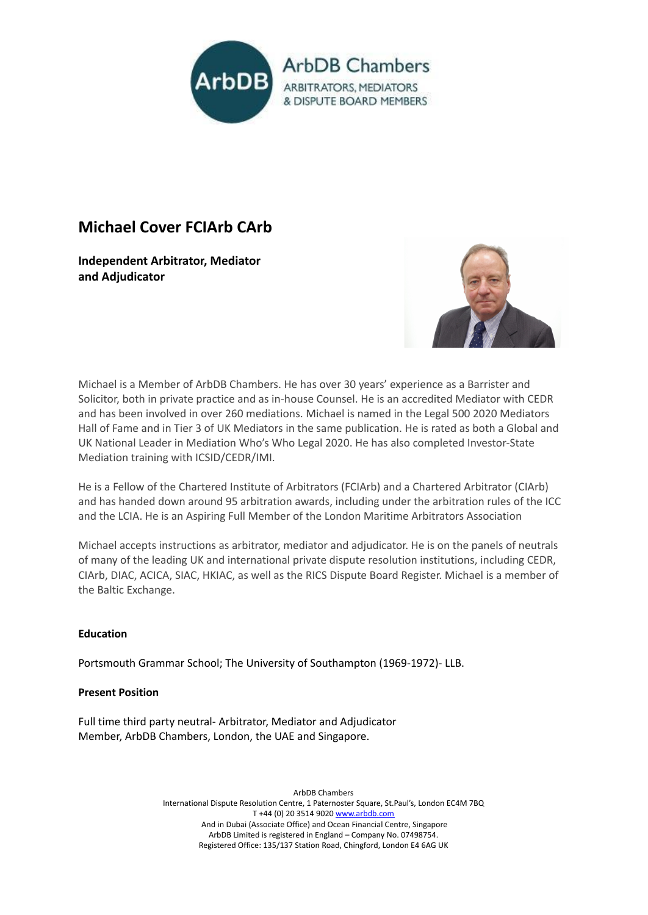

# **Michael Cover FCIArb CArb**

**Independent Arbitrator, Mediator and Adjudicator**



Michael is a Member of ArbDB Chambers. He has over 30 years' experience as a Barrister and Solicitor, both in private practice and as in-house Counsel. He is an accredited Mediator with CEDR and has been involved in over 260 mediations. Michael is named in the Legal 500 2020 Mediators Hall of Fame and in Tier 3 of UK Mediators in the same publication. He is rated as both a Global and UK National Leader in Mediation Who's Who Legal 2020. He has also completed Investor-State Mediation training with ICSID/CEDR/IMI.

He is a Fellow of the Chartered Institute of Arbitrators (FCIArb) and a Chartered Arbitrator (CIArb) and has handed down around 95 arbitration awards, including under the arbitration rules of the ICC and the LCIA. He is an Aspiring Full Member of the London Maritime Arbitrators Association

Michael accepts instructions as arbitrator, mediator and adjudicator. He is on the panels of neutrals of many of the leading UK and international private dispute resolution institutions, including CEDR, CIArb, DIAC, ACICA, SIAC, HKIAC, as well as the RICS Dispute Board Register. Michael is a member of the Baltic Exchange.

# **Education**

Portsmouth Grammar School; The University of Southampton (1969-1972)- LLB.

# **Present Position**

Full time third party neutral- Arbitrator, Mediator and Adjudicator Member, ArbDB Chambers, London, the UAE and Singapore.

> ArbDB Chambers International Dispute Resolution Centre, 1 Paternoster Square, St.Paul's, London EC4M 7BQ T +44 (0) 20 3514 9020 [www.arbdb.com](http://www.arbdb.com) And in Dubai (Associate Office) and Ocean Financial Centre, Singapore ArbDB Limited is registered in England – Company No. 07498754. Registered Office: 135/137 Station Road, Chingford, London E4 6AG UK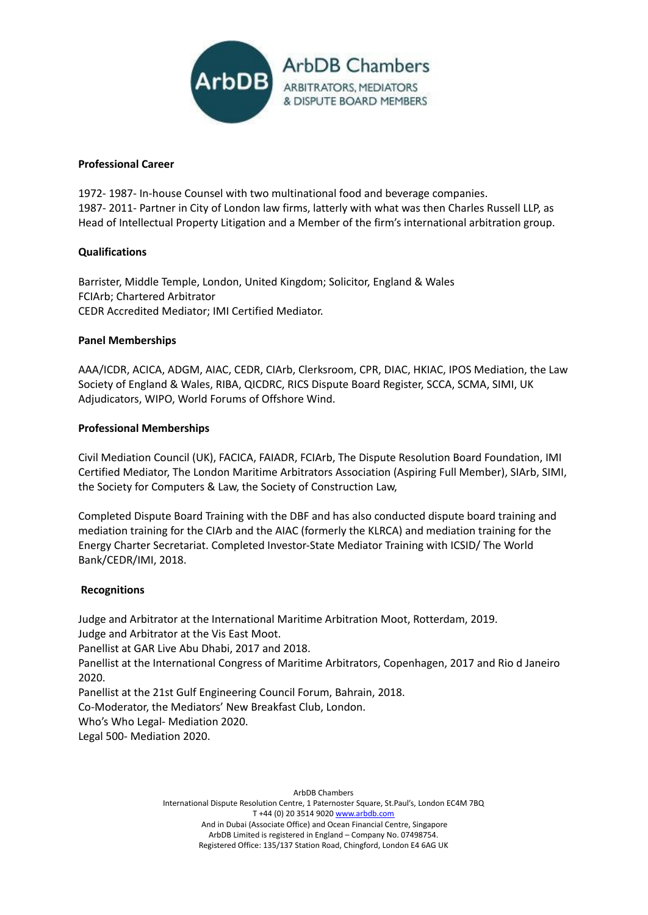

## **Professional Career**

1972- 1987- In-house Counsel with two multinational food and beverage companies. 1987- 2011- Partner in City of London law firms, latterly with what was then Charles Russell LLP, as Head of Intellectual Property Litigation and a Member of the firm's international arbitration group.

# **Qualifications**

Barrister, Middle Temple, London, United Kingdom; Solicitor, England & Wales FCIArb; Chartered Arbitrator CEDR Accredited Mediator; IMI Certified Mediator.

### **Panel Memberships**

AAA/ICDR, ACICA, ADGM, AIAC, CEDR, CIArb, Clerksroom, CPR, DIAC, HKIAC, IPOS Mediation, the Law Society of England & Wales, RIBA, QICDRC, RICS Dispute Board Register, SCCA, SCMA, SIMI, UK Adjudicators, WIPO, World Forums of Offshore Wind.

### **Professional Memberships**

Civil Mediation Council (UK), FACICA, FAIADR, FCIArb, The Dispute Resolution Board Foundation, IMI Certified Mediator, The London Maritime Arbitrators Association (Aspiring Full Member), SIArb, SIMI, the Society for Computers & Law, the Society of Construction Law,

Completed Dispute Board Training with the DBF and has also conducted dispute board training and mediation training for the CIArb and the AIAC (formerly the KLRCA) and mediation training for the Energy Charter Secretariat. Completed Investor-State Mediator Training with ICSID/ The World Bank/CEDR/IMI, 2018.

#### **Recognitions**

Judge and Arbitrator at the International Maritime Arbitration Moot, Rotterdam, 2019. Judge and Arbitrator at the Vis East Moot.

Panellist at GAR Live Abu Dhabi, 2017 and 2018.

Panellist at the International Congress of Maritime Arbitrators, Copenhagen, 2017 and Rio d Janeiro 2020.

Panellist at the 21st Gulf Engineering Council Forum, Bahrain, 2018.

Co-Moderator, the Mediators' New Breakfast Club, London.

Who's Who Legal- Mediation 2020.

Legal 500- Mediation 2020.

ArbDB Chambers International Dispute Resolution Centre, 1 Paternoster Square, St.Paul's, London EC4M 7BQ T +44 (0) 20 3514 9020 [www.arbdb.com](http://www.arbdb.com) And in Dubai (Associate Office) and Ocean Financial Centre, Singapore ArbDB Limited is registered in England – Company No. 07498754. Registered Office: 135/137 Station Road, Chingford, London E4 6AG UK